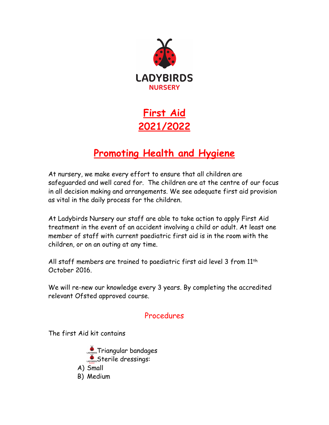

**First Aid 2021/2022**

## **Promoting Health and Hygiene**

At nursery, we make every effort to ensure that all children are safeguarded and well cared for. The children are at the centre of our focus in all decision making and arrangements. We see adequate first aid provision as vital in the daily process for the children.

At Ladybirds Nursery our staff are able to take action to apply First Aid treatment in the event of an accident involving a child or adult. At least one member of staff with current paediatric first aid is in the room with the children, or on an outing at any time.

All staff members are trained to paediatric first aid level 3 from 11th October 2016.

We will re-new our knowledge every 3 years. By completing the accredited relevant Ofsted approved course.

## Procedures

The first Aid kit contains

**CADE:** Triangular bandages Sterile dressings: A) Small B) Medium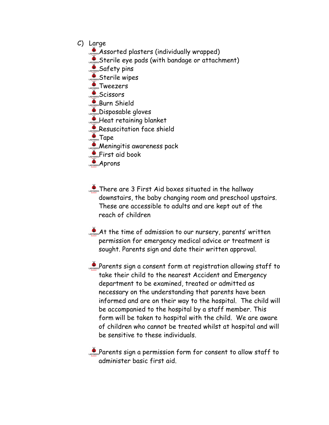- C) Large
	- Assorted plasters (individually wrapped)
	- Sterile eye pads (with bandage or attachment)

Safety pins

Sterile wipes

Tweezers

Scissors

Burn Shield

**Disposable gloves** 

- **Superstanding blanket**
- Resuscitation face shield

**Tape** 

- **Meningitis awareness pack**
- **ADDERSTARY AND THE STATE OF STATE AND REAL PROPERTY.**
- **Aprons**
- **There are 3 First Aid boxes situated in the hallway** downstairs, the baby changing room and preschool upstairs. These are accessible to adults and are kept out of the reach of children
- At the time of admission to our nursery, parents' written permission for emergency medical advice or treatment is sought. Parents sign and date their written approval.

Parents sign a consent form at registration allowing staff to take their child to the nearest Accident and Emergency department to be examined, treated or admitted as necessary on the understanding that parents have been informed and are on their way to the hospital. The child will be accompanied to the hospital by a staff member. This form will be taken to hospital with the child. We are aware of children who cannot be treated whilst at hospital and will be sensitive to these individuals.

Parents sign a permission form for consent to allow staff to administer basic first aid.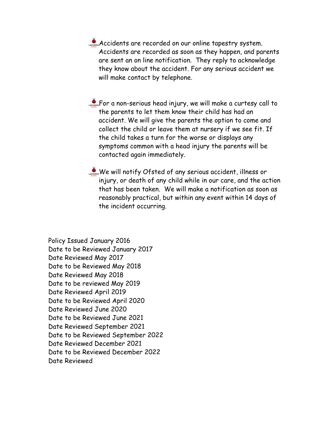Accidents are recorded on our online tapestry system. Accidents are recorded as soon as they happen, and parents are sent an on line notification. They reply to acknowledge they know about the accident. For any serious accident we will make contact by telephone.

**CONSTRICT A non-serious head injury, we will make a curtesy call to** the parents to let them know their child has had an accident. We will give the parents the option to come and collect the child or leave them at nursery if we see fit. If the child takes a turn for the worse or displays any symptoms common with a head injury the parents will be contacted again immediately.

We will notify Ofsted of any serious accident, illness or injury, or death of any child while in our care, and the action that has been taken. We will make a notification as soon as reasonably practical, but within any event within 14 days of the incident occurring.

Policy Issued January 2016 Date to be Reviewed January 2017 Date Reviewed May 2017 Date to be Reviewed May 2018 Date Reviewed May 2018 Date to be reviewed May 2019 Date Reviewed April 2019 Date to be Reviewed April 2020 Date Reviewed June 2020 Date to be Reviewed June 2021 Date Reviewed September 2021 Date to be Reviewed September 2022 Date Reviewed December 2021 Date to be Reviewed December 2022 Date Reviewed